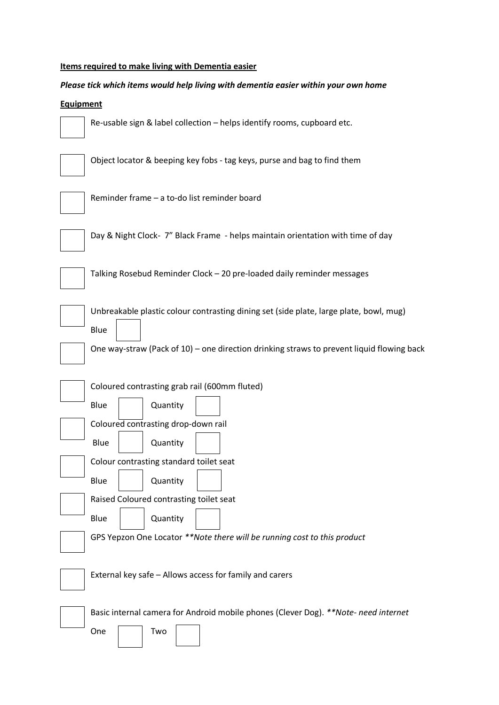## **Items required to make living with Dementia easier**

## *Please tick which items would help living with dementia easier within your own home*

## **Equipment**



Re-usable sign & label collection – helps identify rooms, cupboard etc.

| $\overline{\phantom{a}}$ |  |  |  |
|--------------------------|--|--|--|
|                          |  |  |  |
|                          |  |  |  |

Object locator & beeping key fobs - tag keys, purse and bag to find them



Reminder frame – a to-do list reminder board

Day & Night Clock- 7" Black Frame - helps maintain orientation with time of day



Talking Rosebud Reminder Clock – 20 pre-loaded daily reminder messages

Blue

Unbreakable plastic colour contrasting dining set (side plate, large plate, bowl, mug)



One way-straw (Pack of 10) – one direction drinking straws to prevent liquid flowing back

| Coloured contrasting grab rail (600mm fluted) |  |                                                                          |  |  |  |  |
|-----------------------------------------------|--|--------------------------------------------------------------------------|--|--|--|--|
| Blue                                          |  | Quantity                                                                 |  |  |  |  |
|                                               |  | Coloured contrasting drop-down rail                                      |  |  |  |  |
| Blue                                          |  | Quantity                                                                 |  |  |  |  |
|                                               |  | Colour contrasting standard toilet seat                                  |  |  |  |  |
| Blue                                          |  | Quantity                                                                 |  |  |  |  |
|                                               |  | Raised Coloured contrasting toilet seat                                  |  |  |  |  |
| Blue                                          |  | Quantity                                                                 |  |  |  |  |
|                                               |  | GPS Yepzon One Locator **Note there will be running cost to this product |  |  |  |  |
|                                               |  |                                                                          |  |  |  |  |
|                                               |  | External key safe - Allows access for family and carers                  |  |  |  |  |
|                                               |  | Desis internal comeans far Andreid mebile planes (Clouse Deal XXNL++)    |  |  |  |  |

One

Basic internal camera for Android mobile phones (Clever Dog). *\*\*Note- need internet*

| Two |  |
|-----|--|
|     |  |